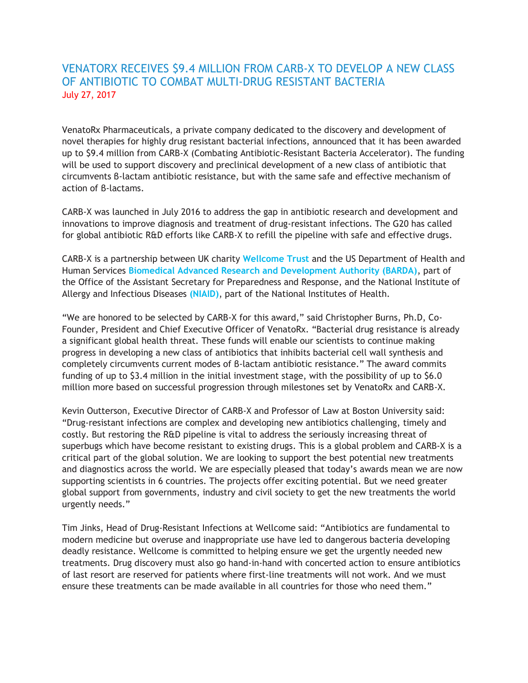# VENATORX RECEIVES \$9.4 MILLION FROM CARB-X TO DEVELOP A NEW CLASS OF ANTIBIOTIC TO COMBAT MULTI-DRUG RESISTANT BACTERIA July 27, 2017

VenatoRx Pharmaceuticals, a private company dedicated to the discovery and development of novel therapies for highly drug resistant bacterial infections, announced that it has been awarded up to \$9.4 million from CARB-X (Combating Antibiotic-Resistant Bacteria Accelerator). The funding will be used to support discovery and preclinical development of a new class of antibiotic that circumvents β-lactam antibiotic resistance, but with the same safe and effective mechanism of action of β-lactams.

CARB-X was launched in July 2016 to address the gap in antibiotic research and development and innovations to improve diagnosis and treatment of drug-resistant infections. The G20 has called for global antibiotic R&D efforts like CARB-X to refill the pipeline with safe and effective drugs.

CARB-X is a partnership between UK charity **[Wellcome Trust](https://wellcome.ac.uk/what-we-do/our-work/drug-resistant-infections)** and the US Department of Health and Human Services **[Biomedical Advanced Research and Development Authority \(BARDA\)](https://www.phe.gov/about/BARDA/Pages/default.aspx)**, part of the Office of the Assistant Secretary for Preparedness and Response, and the National Institute of Allergy and Infectious Diseases **[\(NIAID\)](https://www.niaid.nih.gov/)**, part of the National Institutes of Health.

"We are honored to be selected by CARB-X for this award," said Christopher Burns, Ph.D, Co-Founder, President and Chief Executive Officer of VenatoRx. "Bacterial drug resistance is already a significant global health threat. These funds will enable our scientists to continue making progress in developing a new class of antibiotics that inhibits bacterial cell wall synthesis and completely circumvents current modes of β-lactam antibiotic resistance." The award commits funding of up to \$3.4 million in the initial investment stage, with the possibility of up to \$6.0 million more based on successful progression through milestones set by VenatoRx and CARB-X.

Kevin Outterson, Executive Director of CARB-X and Professor of Law at Boston University said: "Drug-resistant infections are complex and developing new antibiotics challenging, timely and costly. But restoring the R&D pipeline is vital to address the seriously increasing threat of superbugs which have become resistant to existing drugs. This is a global problem and CARB-X is a critical part of the global solution. We are looking to support the best potential new treatments and diagnostics across the world. We are especially pleased that today's awards mean we are now supporting scientists in 6 countries. The projects offer exciting potential. But we need greater global support from governments, industry and civil society to get the new treatments the world urgently needs."

Tim Jinks, Head of Drug-Resistant Infections at Wellcome said: "Antibiotics are fundamental to modern medicine but overuse and inappropriate use have led to dangerous bacteria developing deadly resistance. Wellcome is committed to helping ensure we get the urgently needed new treatments. Drug discovery must also go hand-in-hand with concerted action to ensure antibiotics of last resort are reserved for patients where first-line treatments will not work. And we must ensure these treatments can be made available in all countries for those who need them."